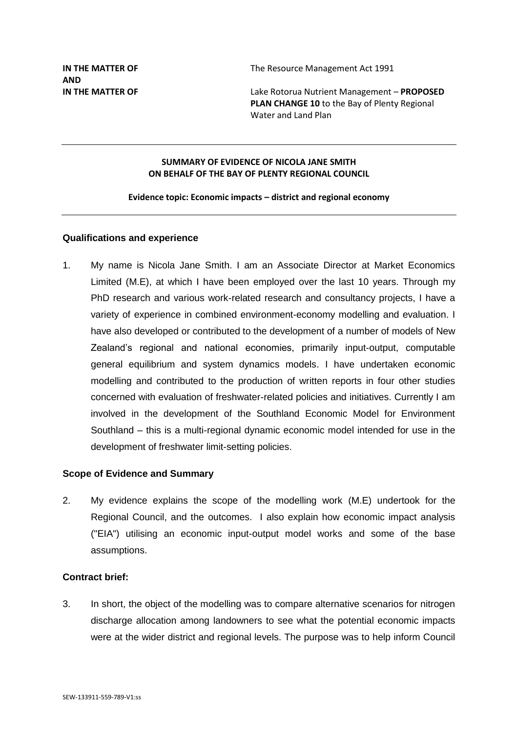**IN THE MATTER OF THE SERVICE MANAGEMENT ACT 1991** 

**IN THE MATTER OF** Lake Rotorua Nutrient Management – **PROPOSED PLAN CHANGE 10** to the Bay of Plenty Regional Water and Land Plan

### **SUMMARY OF EVIDENCE OF NICOLA JANE SMITH ON BEHALF OF THE BAY OF PLENTY REGIONAL COUNCIL**

#### **Evidence topic: Economic impacts – district and regional economy**

### **Qualifications and experience**

1. My name is Nicola Jane Smith. I am an Associate Director at Market Economics Limited (M.E), at which I have been employed over the last 10 years. Through my PhD research and various work-related research and consultancy projects, I have a variety of experience in combined environment-economy modelling and evaluation. I have also developed or contributed to the development of a number of models of New Zealand's regional and national economies, primarily input-output, computable general equilibrium and system dynamics models. I have undertaken economic modelling and contributed to the production of written reports in four other studies concerned with evaluation of freshwater-related policies and initiatives. Currently I am involved in the development of the Southland Economic Model for Environment Southland – this is a multi-regional dynamic economic model intended for use in the development of freshwater limit-setting policies.

## **Scope of Evidence and Summary**

2. My evidence explains the scope of the modelling work (M.E) undertook for the Regional Council, and the outcomes. I also explain how economic impact analysis ("EIA") utilising an economic input-output model works and some of the base assumptions.

# **Contract brief:**

3. In short, the object of the modelling was to compare alternative scenarios for nitrogen discharge allocation among landowners to see what the potential economic impacts were at the wider district and regional levels. The purpose was to help inform Council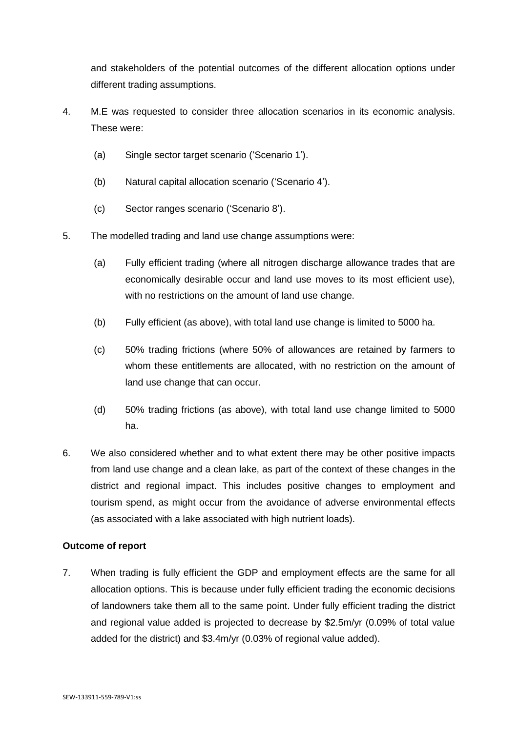and stakeholders of the potential outcomes of the different allocation options under different trading assumptions.

- 4. M.E was requested to consider three allocation scenarios in its economic analysis. These were:
	- (a) Single sector target scenario ('Scenario 1').
	- (b) Natural capital allocation scenario ('Scenario 4').
	- (c) Sector ranges scenario ('Scenario 8').
- 5. The modelled trading and land use change assumptions were:
	- (a) Fully efficient trading (where all nitrogen discharge allowance trades that are economically desirable occur and land use moves to its most efficient use), with no restrictions on the amount of land use change.
	- (b) Fully efficient (as above), with total land use change is limited to 5000 ha.
	- (c) 50% trading frictions (where 50% of allowances are retained by farmers to whom these entitlements are allocated, with no restriction on the amount of land use change that can occur.
	- (d) 50% trading frictions (as above), with total land use change limited to 5000 ha.
- 6. We also considered whether and to what extent there may be other positive impacts from land use change and a clean lake, as part of the context of these changes in the district and regional impact. This includes positive changes to employment and tourism spend, as might occur from the avoidance of adverse environmental effects (as associated with a lake associated with high nutrient loads).

## **Outcome of report**

7. When trading is fully efficient the GDP and employment effects are the same for all allocation options. This is because under fully efficient trading the economic decisions of landowners take them all to the same point. Under fully efficient trading the district and regional value added is projected to decrease by \$2.5m/yr (0.09% of total value added for the district) and \$3.4m/yr (0.03% of regional value added).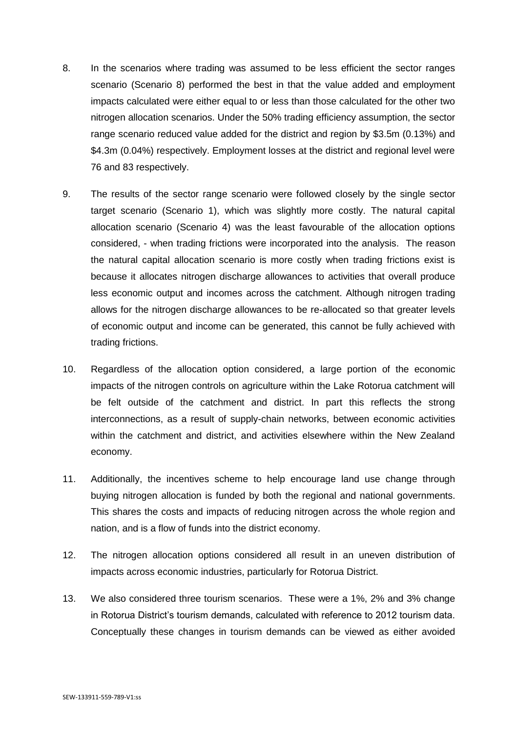- 8. In the scenarios where trading was assumed to be less efficient the sector ranges scenario (Scenario 8) performed the best in that the value added and employment impacts calculated were either equal to or less than those calculated for the other two nitrogen allocation scenarios. Under the 50% trading efficiency assumption, the sector range scenario reduced value added for the district and region by \$3.5m (0.13%) and \$4.3m (0.04%) respectively. Employment losses at the district and regional level were 76 and 83 respectively.
- 9. The results of the sector range scenario were followed closely by the single sector target scenario (Scenario 1), which was slightly more costly. The natural capital allocation scenario (Scenario 4) was the least favourable of the allocation options considered, - when trading frictions were incorporated into the analysis. The reason the natural capital allocation scenario is more costly when trading frictions exist is because it allocates nitrogen discharge allowances to activities that overall produce less economic output and incomes across the catchment. Although nitrogen trading allows for the nitrogen discharge allowances to be re-allocated so that greater levels of economic output and income can be generated, this cannot be fully achieved with trading frictions.
- 10. Regardless of the allocation option considered, a large portion of the economic impacts of the nitrogen controls on agriculture within the Lake Rotorua catchment will be felt outside of the catchment and district. In part this reflects the strong interconnections, as a result of supply-chain networks, between economic activities within the catchment and district, and activities elsewhere within the New Zealand economy.
- 11. Additionally, the incentives scheme to help encourage land use change through buying nitrogen allocation is funded by both the regional and national governments. This shares the costs and impacts of reducing nitrogen across the whole region and nation, and is a flow of funds into the district economy.
- 12. The nitrogen allocation options considered all result in an uneven distribution of impacts across economic industries, particularly for Rotorua District.
- 13. We also considered three tourism scenarios. These were a 1%, 2% and 3% change in Rotorua District's tourism demands, calculated with reference to 2012 tourism data. Conceptually these changes in tourism demands can be viewed as either avoided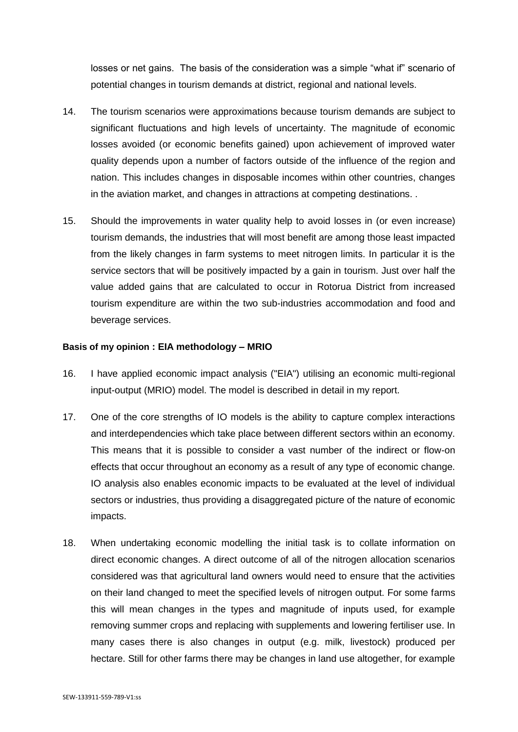losses or net gains. The basis of the consideration was a simple "what if" scenario of potential changes in tourism demands at district, regional and national levels.

- 14. The tourism scenarios were approximations because tourism demands are subject to significant fluctuations and high levels of uncertainty. The magnitude of economic losses avoided (or economic benefits gained) upon achievement of improved water quality depends upon a number of factors outside of the influence of the region and nation. This includes changes in disposable incomes within other countries, changes in the aviation market, and changes in attractions at competing destinations. .
- 15. Should the improvements in water quality help to avoid losses in (or even increase) tourism demands, the industries that will most benefit are among those least impacted from the likely changes in farm systems to meet nitrogen limits. In particular it is the service sectors that will be positively impacted by a gain in tourism. Just over half the value added gains that are calculated to occur in Rotorua District from increased tourism expenditure are within the two sub-industries accommodation and food and beverage services.

### **Basis of my opinion : EIA methodology – MRIO**

- 16. I have applied economic impact analysis ("EIA") utilising an economic multi-regional input-output (MRIO) model. The model is described in detail in my report.
- 17. One of the core strengths of IO models is the ability to capture complex interactions and interdependencies which take place between different sectors within an economy. This means that it is possible to consider a vast number of the indirect or flow-on effects that occur throughout an economy as a result of any type of economic change. IO analysis also enables economic impacts to be evaluated at the level of individual sectors or industries, thus providing a disaggregated picture of the nature of economic impacts.
- 18. When undertaking economic modelling the initial task is to collate information on direct economic changes. A direct outcome of all of the nitrogen allocation scenarios considered was that agricultural land owners would need to ensure that the activities on their land changed to meet the specified levels of nitrogen output. For some farms this will mean changes in the types and magnitude of inputs used, for example removing summer crops and replacing with supplements and lowering fertiliser use. In many cases there is also changes in output (e.g. milk, livestock) produced per hectare. Still for other farms there may be changes in land use altogether, for example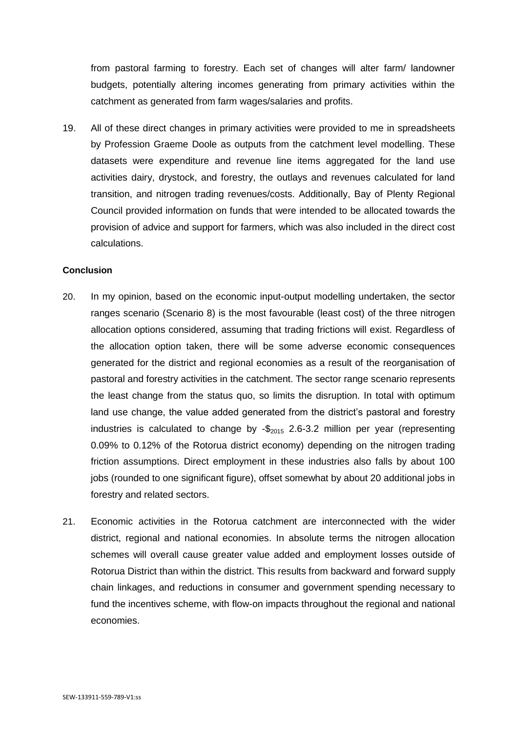from pastoral farming to forestry. Each set of changes will alter farm/ landowner budgets, potentially altering incomes generating from primary activities within the catchment as generated from farm wages/salaries and profits.

19. All of these direct changes in primary activities were provided to me in spreadsheets by Profession Graeme Doole as outputs from the catchment level modelling. These datasets were expenditure and revenue line items aggregated for the land use activities dairy, drystock, and forestry, the outlays and revenues calculated for land transition, and nitrogen trading revenues/costs. Additionally, Bay of Plenty Regional Council provided information on funds that were intended to be allocated towards the provision of advice and support for farmers, which was also included in the direct cost calculations.

### **Conclusion**

- 20. In my opinion, based on the economic input-output modelling undertaken, the sector ranges scenario (Scenario 8) is the most favourable (least cost) of the three nitrogen allocation options considered, assuming that trading frictions will exist. Regardless of the allocation option taken, there will be some adverse economic consequences generated for the district and regional economies as a result of the reorganisation of pastoral and forestry activities in the catchment. The sector range scenario represents the least change from the status quo, so limits the disruption. In total with optimum land use change, the value added generated from the district's pastoral and forestry industries is calculated to change by  $-\frac{6}{2015}$  2.6-3.2 million per year (representing 0.09% to 0.12% of the Rotorua district economy) depending on the nitrogen trading friction assumptions. Direct employment in these industries also falls by about 100 jobs (rounded to one significant figure), offset somewhat by about 20 additional jobs in forestry and related sectors.
- 21. Economic activities in the Rotorua catchment are interconnected with the wider district, regional and national economies. In absolute terms the nitrogen allocation schemes will overall cause greater value added and employment losses outside of Rotorua District than within the district. This results from backward and forward supply chain linkages, and reductions in consumer and government spending necessary to fund the incentives scheme, with flow-on impacts throughout the regional and national economies.